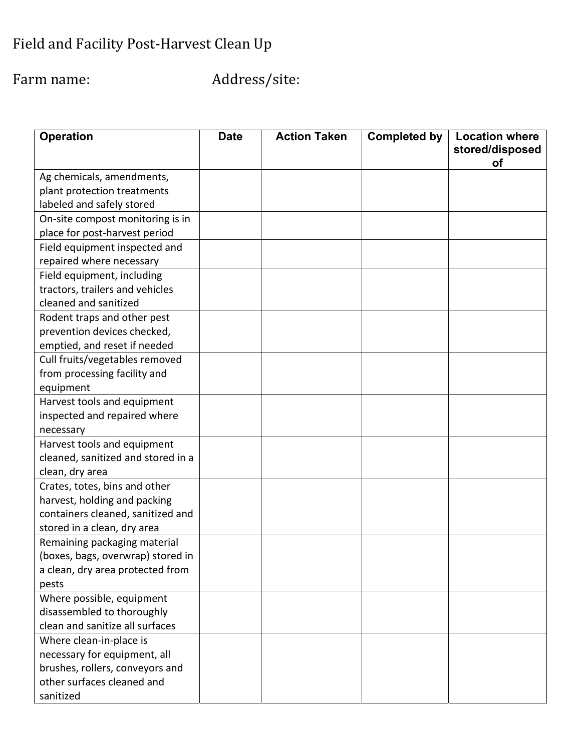# Field and Facility Post-Harvest Clean Up

Farm name: Address/site:

| <b>Operation</b>                   | <b>Date</b> | <b>Action Taken</b> | <b>Completed by</b> | <b>Location where</b><br>stored/disposed |
|------------------------------------|-------------|---------------------|---------------------|------------------------------------------|
| Ag chemicals, amendments,          |             |                     |                     | οf                                       |
| plant protection treatments        |             |                     |                     |                                          |
| labeled and safely stored          |             |                     |                     |                                          |
| On-site compost monitoring is in   |             |                     |                     |                                          |
| place for post-harvest period      |             |                     |                     |                                          |
| Field equipment inspected and      |             |                     |                     |                                          |
| repaired where necessary           |             |                     |                     |                                          |
| Field equipment, including         |             |                     |                     |                                          |
| tractors, trailers and vehicles    |             |                     |                     |                                          |
| cleaned and sanitized              |             |                     |                     |                                          |
| Rodent traps and other pest        |             |                     |                     |                                          |
| prevention devices checked,        |             |                     |                     |                                          |
| emptied, and reset if needed       |             |                     |                     |                                          |
| Cull fruits/vegetables removed     |             |                     |                     |                                          |
| from processing facility and       |             |                     |                     |                                          |
| equipment                          |             |                     |                     |                                          |
| Harvest tools and equipment        |             |                     |                     |                                          |
| inspected and repaired where       |             |                     |                     |                                          |
| necessary                          |             |                     |                     |                                          |
| Harvest tools and equipment        |             |                     |                     |                                          |
| cleaned, sanitized and stored in a |             |                     |                     |                                          |
| clean, dry area                    |             |                     |                     |                                          |
| Crates, totes, bins and other      |             |                     |                     |                                          |
| harvest, holding and packing       |             |                     |                     |                                          |
| containers cleaned, sanitized and  |             |                     |                     |                                          |
| stored in a clean, dry area        |             |                     |                     |                                          |
| Remaining packaging material       |             |                     |                     |                                          |
| (boxes, bags, overwrap) stored in  |             |                     |                     |                                          |
| a clean, dry area protected from   |             |                     |                     |                                          |
| pests                              |             |                     |                     |                                          |
| Where possible, equipment          |             |                     |                     |                                          |
| disassembled to thoroughly         |             |                     |                     |                                          |
| clean and sanitize all surfaces    |             |                     |                     |                                          |
| Where clean-in-place is            |             |                     |                     |                                          |
| necessary for equipment, all       |             |                     |                     |                                          |
| brushes, rollers, conveyors and    |             |                     |                     |                                          |
| other surfaces cleaned and         |             |                     |                     |                                          |
| sanitized                          |             |                     |                     |                                          |